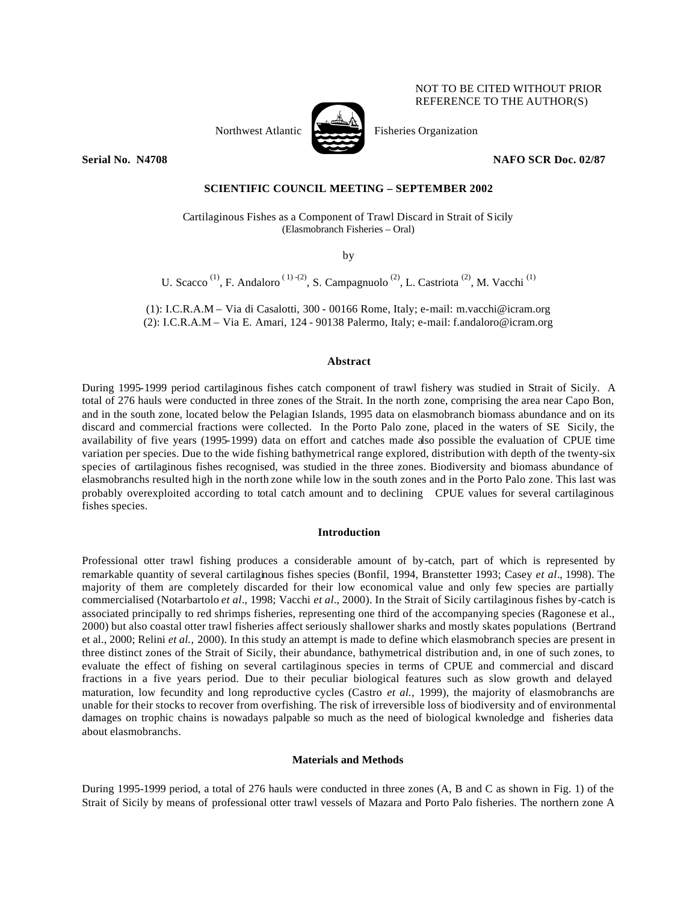# Northwest Atlantic Fisheries Organization

NOT TO BE CITED WITHOUT PRIOR REFERENCE TO THE AUTHOR(S)

**Serial No. N4708 NAFO SCR Doc. 02/87** 

# **SCIENTIFIC COUNCIL MEETING – SEPTEMBER 2002**

Cartilaginous Fishes as a Component of Trawl Discard in Strait of Sicily (Elasmobranch Fisheries – Oral)

by

U. Scacco<sup>(1)</sup>, F. Andaloro<sup>(1)-(2)</sup>, S. Campagnuolo<sup>(2)</sup>, L. Castriota<sup>(2)</sup>, M. Vacchi<sup>(1)</sup>

(1): I.C.R.A.M – Via di Casalotti, 300 - 00166 Rome, Italy; e-mail: m.vacchi@icram.org (2): I.C.R.A.M – Via E. Amari, 124 - 90138 Palermo, Italy; e-mail: f.andaloro@icram.org

# **Abstract**

During 1995-1999 period cartilaginous fishes catch component of trawl fishery was studied in Strait of Sicily. A total of 276 hauls were conducted in three zones of the Strait. In the north zone, comprising the area near Capo Bon, and in the south zone, located below the Pelagian Islands, 1995 data on elasmobranch biomass abundance and on its discard and commercial fractions were collected. In the Porto Palo zone, placed in the waters of SE Sicily, the availability of five years (1995-1999) data on effort and catches made also possible the evaluation of CPUE time variation per species. Due to the wide fishing bathymetrical range explored, distribution with depth of the twenty-six species of cartilaginous fishes recognised, was studied in the three zones. Biodiversity and biomass abundance of elasmobranchs resulted high in the north zone while low in the south zones and in the Porto Palo zone. This last was probably overexploited according to total catch amount and to declining CPUE values for several cartilaginous fishes species.

### **Introduction**

Professional otter trawl fishing produces a considerable amount of by-catch, part of which is represented by remarkable quantity of several cartilaginous fishes species (Bonfil, 1994, Branstetter 1993; Casey *et al*., 1998). The majority of them are completely discarded for their low economical value and only few species are partially commercialised (Notarbartolo *et al*., 1998; Vacchi *et al.*, 2000). In the Strait of Sicily cartilaginous fishes by-catch is associated principally to red shrimps fisheries, representing one third of the accompanying species (Ragonese et al., 2000) but also coastal otter trawl fisheries affect seriously shallower sharks and mostly skates populations (Bertrand et al., 2000; Relini *et al.,* 2000). In this study an attempt is made to define which elasmobranch species are present in three distinct zones of the Strait of Sicily, their abundance, bathymetrical distribution and, in one of such zones, to evaluate the effect of fishing on several cartilaginous species in terms of CPUE and commercial and discard fractions in a five years period. Due to their peculiar biological features such as slow growth and delayed maturation, low fecundity and long reproductive cycles (Castro *et al.,* 1999), the majority of elasmobranchs are unable for their stocks to recover from overfishing. The risk of irreversible loss of biodiversity and of environmental damages on trophic chains is nowadays palpable so much as the need of biological kwnoledge and fisheries data about elasmobranchs.

# **Materials and Methods**

During 1995-1999 period, a total of 276 hauls were conducted in three zones (A, B and C as shown in Fig. 1) of the Strait of Sicily by means of professional otter trawl vessels of Mazara and Porto Palo fisheries. The northern zone A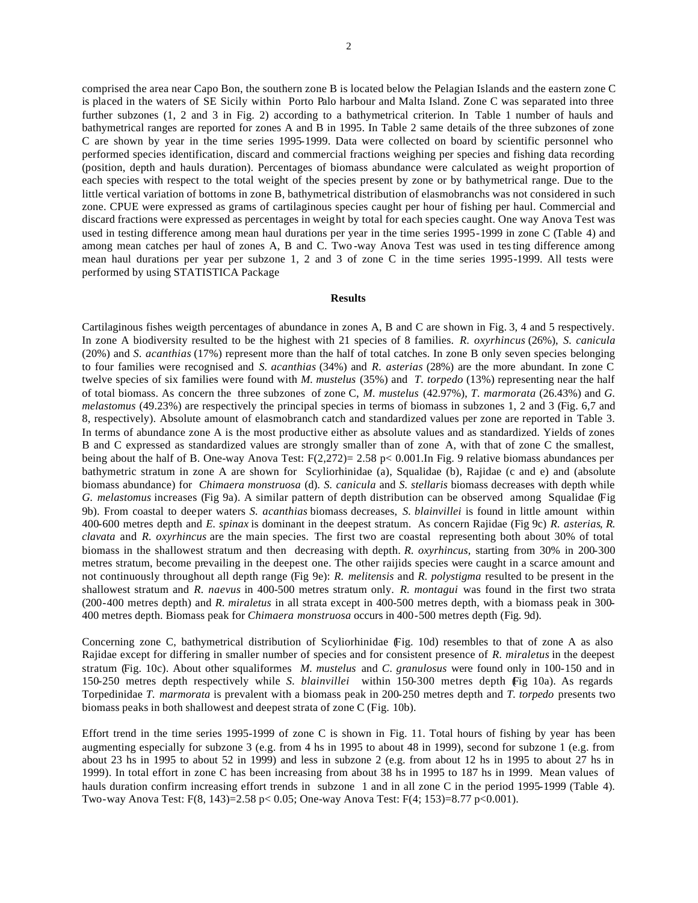comprised the area near Capo Bon, the southern zone B is located below the Pelagian Islands and the eastern zone C is placed in the waters of SE Sicily within Porto Palo harbour and Malta Island. Zone C was separated into three further subzones (1, 2 and 3 in Fig. 2) according to a bathymetrical criterion. In Table 1 number of hauls and bathymetrical ranges are reported for zones A and B in 1995. In Table 2 same details of the three subzones of zone C are shown by year in the time series 1995-1999. Data were collected on board by scientific personnel who performed species identification, discard and commercial fractions weighing per species and fishing data recording (position, depth and hauls duration). Percentages of biomass abundance were calculated as weight proportion of each species with respect to the total weight of the species present by zone or by bathymetrical range. Due to the little vertical variation of bottoms in zone B, bathymetrical distribution of elasmobranchs was not considered in such zone. CPUE were expressed as grams of cartilaginous species caught per hour of fishing per haul. Commercial and discard fractions were expressed as percentages in weight by total for each species caught. One way Anova Test was used in testing difference among mean haul durations per year in the time series 1995-1999 in zone C (Table 4) and among mean catches per haul of zones A, B and C. Two -way Anova Test was used in testing difference among mean haul durations per year per subzone 1, 2 and 3 of zone C in the time series 1995-1999. All tests were performed by using STATISTICA Package

# **Results**

Cartilaginous fishes weigth percentages of abundance in zones A, B and C are shown in Fig. 3, 4 and 5 respectively. In zone A biodiversity resulted to be the highest with 21 species of 8 families. *R. oxyrhincus* (26%), *S. canicula* (20%) and *S. acanthias* (17%) represent more than the half of total catches. In zone B only seven species belonging to four families were recognised and *S. acanthias* (34%) and *R. asterias* (28%) are the more abundant. In zone C twelve species of six families were found with *M. mustelus* (35%) and *T. torpedo* (13%) representing near the half of total biomass. As concern the three subzones of zone C, *M. mustelus* (42.97%), *T. marmorata* (26.43%) and *G. melastomus* (49.23%) are respectively the principal species in terms of biomass in subzones 1, 2 and 3 (Fig. 6,7 and 8, respectively). Absolute amount of elasmobranch catch and standardized values per zone are reported in Table 3. In terms of abundance zone A is the most productive either as absolute values and as standardized. Yields of zones B and C expressed as standardized values are strongly smaller than of zone A, with that of zone C the smallest, being about the half of B. One-way Anova Test: F(2,272)= 2.58 p< 0.001.In Fig. 9 relative biomass abundances per bathymetric stratum in zone A are shown for Scyliorhinidae (a), Squalidae (b), Rajidae (c and e) and (absolute biomass abundance) for *Chimaera monstruosa* (d). *S. canicula* and *S. stellaris* biomass decreases with depth while *G. melastomus* increases (Fig 9a). A similar pattern of depth distribution can be observed among Squalidae (Fig 9b). From coastal to deeper waters *S. acanthias* biomass decreases, *S. blainvillei* is found in little amount within 400-600 metres depth and *E. spinax* is dominant in the deepest stratum. As concern Rajidae (Fig 9c) *R. asterias*, *R. clavata* and *R. oxyrhincus* are the main species. The first two are coastal representing both about 30% of total biomass in the shallowest stratum and then decreasing with depth. *R. oxyrhincus,* starting from 30% in 200-300 metres stratum, become prevailing in the deepest one. The other raijids species were caught in a scarce amount and not continuously throughout all depth range (Fig 9e): *R. melitensis* and *R. polystigma* resulted to be present in the shallowest stratum and *R. naevus* in 400-500 metres stratum only. *R. montagui* was found in the first two strata (200-400 metres depth) and *R. miraletus* in all strata except in 400-500 metres depth, with a biomass peak in 300- 400 metres depth. Biomass peak for *Chimaera monstruosa* occurs in 400-500 metres depth (Fig. 9d).

Concerning zone C, bathymetrical distribution of Scyliorhinidae (Fig. 10d) resembles to that of zone A as also Rajidae except for differing in smaller number of species and for consistent presence of *R. miraletus* in the deepest stratum (Fig. 10c). About other squaliformes *M. mustelus* and *C. granulosus* were found only in 100-150 and in 150-250 metres depth respectively while *S. blainvillei* within 150-300 metres depth (Fig 10a). As regards Torpedinidae *T. marmorata* is prevalent with a biomass peak in 200-250 metres depth and *T. torpedo* presents two biomass peaks in both shallowest and deepest strata of zone C (Fig. 10b).

Effort trend in the time series 1995-1999 of zone C is shown in Fig. 11. Total hours of fishing by year has been augmenting especially for subzone 3 (e.g. from 4 hs in 1995 to about 48 in 1999), second for subzone 1 (e.g. from about 23 hs in 1995 to about 52 in 1999) and less in subzone 2 (e.g. from about 12 hs in 1995 to about 27 hs in 1999). In total effort in zone C has been increasing from about 38 hs in 1995 to 187 hs in 1999. Mean values of hauls duration confirm increasing effort trends in subzone 1 and in all zone C in the period 1995-1999 (Table 4). Two-way Anova Test: F(8, 143)=2.58 p< 0.05; One-way Anova Test: F(4; 153)=8.77 p<0.001).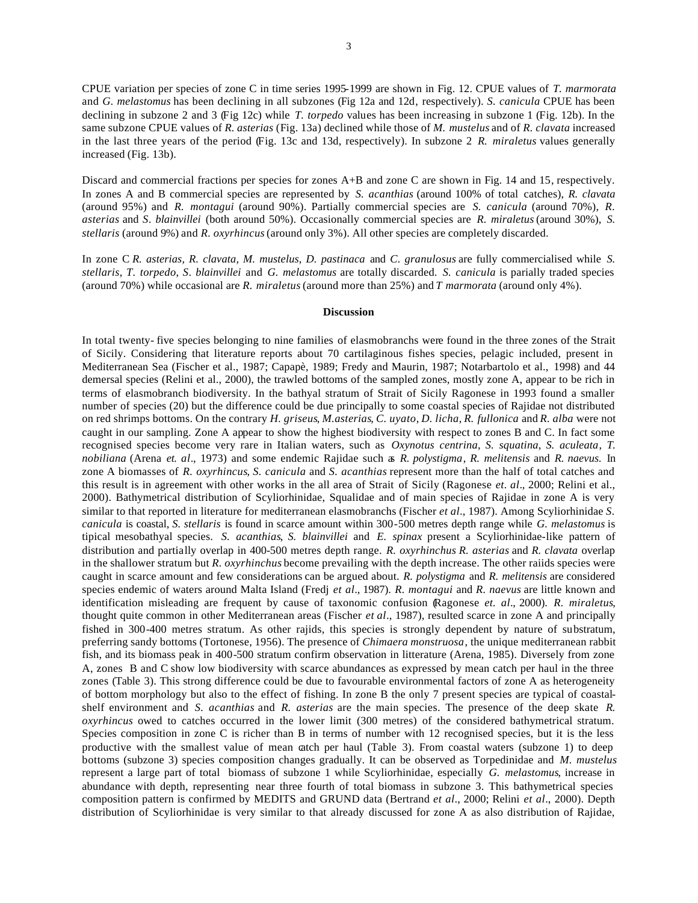CPUE variation per species of zone C in time series 1995-1999 are shown in Fig. 12. CPUE values of *T. marmorata* and *G. melastomus* has been declining in all subzones (Fig 12a and 12d, respectively). *S. canicula* CPUE has been declining in subzone 2 and 3 (Fig 12c) while *T. torpedo* values has been increasing in subzone 1 (Fig. 12b). In the same subzone CPUE values of *R. asterias* (Fig. 13a) declined while those of *M. mustelus* and of *R. clavata* increased in the last three years of the period (Fig. 13c and 13d, respectively). In subzone 2 *R. miraletus* values generally increased (Fig. 13b).

Discard and commercial fractions per species for zones A+B and zone C are shown in Fig. 14 and 15, respectively. In zones A and B commercial species are represented by *S. acanthias* (around 100% of total catches), *R. clavata* (around 95%) and *R. montagui* (around 90%). Partially commercial species are *S. canicula* (around 70%), *R. asterias* and *S. blainvillei* (both around 50%). Occasionally commercial species are *R. miraletus* (around 30%), *S. stellaris* (around 9%) and *R. oxyrhincus* (around only 3%). All other species are completely discarded.

In zone C *R. asterias, R. clavata, M. mustelus, D. pastinaca* and *C. granulosus* are fully commercialised while *S. stellaris*, *T. torpedo*, *S. blainvillei* and *G. melastomus* are totally discarded. *S. canicula* is parially traded species (around 70%) while occasional are *R. miraletus* (around more than 25%) and *T marmorata* (around only 4%).

### **Discussion**

In total twenty- five species belonging to nine families of elasmobranchs were found in the three zones of the Strait of Sicily. Considering that literature reports about 70 cartilaginous fishes species, pelagic included, present in Mediterranean Sea (Fischer et al., 1987; Capapè, 1989; Fredy and Maurin, 1987; Notarbartolo et al., 1998) and 44 demersal species (Relini et al., 2000), the trawled bottoms of the sampled zones, mostly zone A, appear to be rich in terms of elasmobranch biodiversity. In the bathyal stratum of Strait of Sicily Ragonese in 1993 found a smaller number of species (20) but the difference could be due principally to some coastal species of Rajidae not distributed on red shrimps bottoms. On the contrary *H. griseus*, *M.asterias*, *C. uyato*, *D. licha*, *R. fullonica* and *R. alba* were not caught in our sampling. Zone A appear to show the highest biodiversity with respect to zones B and C. In fact some recognised species become very rare in Italian waters, such as *Oxynotus centrina*, *S. squatina*, *S. aculeata*, *T. nobiliana* (Arena *et. al*., 1973) and some endemic Rajidae such as *R. polystigma*, *R. melitensis* and *R. naevus.* In zone A biomasses of *R. oxyrhincus*, *S. canicula* and *S. acanthias* represent more than the half of total catches and this result is in agreement with other works in the all area of Strait of Sicily (Ragonese *et. al*., 2000; Relini et al., 2000). Bathymetrical distribution of Scyliorhinidae, Squalidae and of main species of Rajidae in zone A is very similar to that reported in literature for mediterranean elasmobranchs (Fischer *et al*., 1987). Among Scyliorhinidae *S. canicula* is coastal, *S. stellaris* is found in scarce amount within 300-500 metres depth range while *G. melastomus* is tipical mesobathyal species. *S. acanthias*, *S. blainvillei* and *E. spinax* present a Scyliorhinidae-like pattern of distribution and partially overlap in 400-500 metres depth range. *R. oxyrhinchus R. asterias* and *R. clavata* overlap in the shallower stratum but *R. oxyrhinchus* become prevailing with the depth increase. The other raiids species were caught in scarce amount and few considerations can be argued about. *R. polystigma* and *R. melitensis* are considered species endemic of waters around Malta Island (Fredj *et al*., 1987). *R. montagui* and *R. naevus* are little known and identification misleading are frequent by cause of taxonomic confusion (Ragonese *et. al*., 2000). *R. miraletus*, thought quite common in other Mediterranean areas (Fischer *et al*., 1987), resulted scarce in zone A and principally fished in 300-400 metres stratum. As other rajids, this species is strongly dependent by nature of substratum, preferring sandy bottoms (Tortonese, 1956). The presence of *Chimaera monstruosa*, the unique mediterranean rabbit fish, and its biomass peak in 400-500 stratum confirm observation in litterature (Arena, 1985). Diversely from zone A, zones B and C show low biodiversity with scarce abundances as expressed by mean catch per haul in the three zones (Table 3). This strong difference could be due to favourable environmental factors of zone A as heterogeneity of bottom morphology but also to the effect of fishing. In zone B the only 7 present species are typical of coastalshelf environment and *S. acanthias* and *R. asterias* are the main species. The presence of the deep skate *R. oxyrhincus* owed to catches occurred in the lower limit (300 metres) of the considered bathymetrical stratum. Species composition in zone C is richer than B in terms of number with 12 recognised species, but it is the less productive with the smallest value of mean catch per haul (Table 3). From coastal waters (subzone 1) to deep bottoms (subzone 3) species composition changes gradually. It can be observed as Torpedinidae and *M. mustelus* represent a large part of total biomass of subzone 1 while Scyliorhinidae, especially *G. melastomus*, increase in abundance with depth, representing near three fourth of total biomass in subzone 3. This bathymetrical species composition pattern is confirmed by MEDITS and GRUND data (Bertrand *et al*., 2000; Relini *et al*., 2000). Depth distribution of Scyliorhinidae is very similar to that already discussed for zone A as also distribution of Rajidae,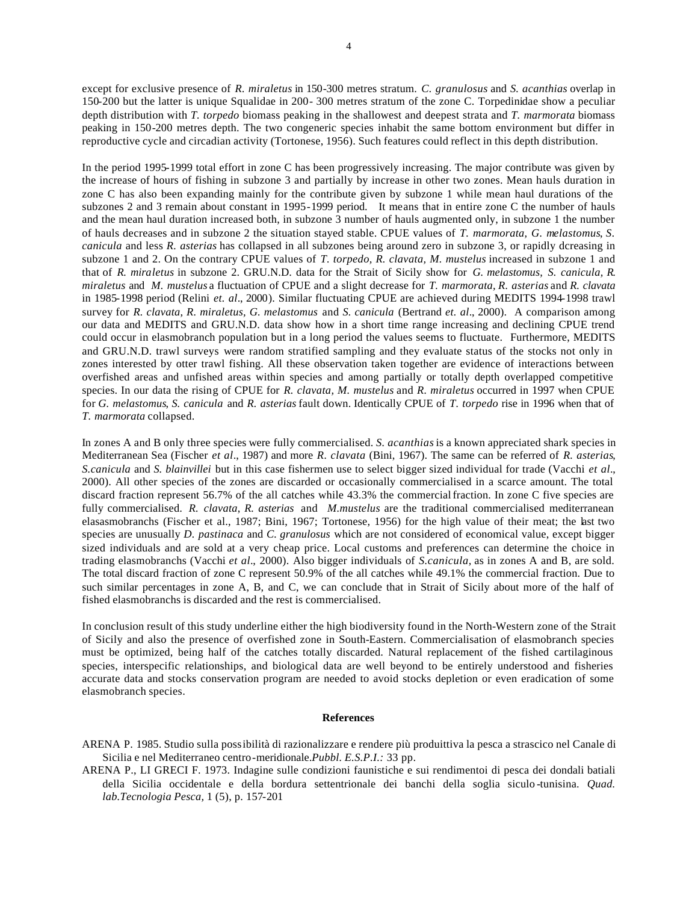except for exclusive presence of *R. miraletus* in 150-300 metres stratum. *C. granulosus* and *S. acanthias* overlap in 150-200 but the latter is unique Squalidae in 200- 300 metres stratum of the zone C. Torpedinidae show a peculiar depth distribution with *T. torpedo* biomass peaking in the shallowest and deepest strata and *T. marmorata* biomass peaking in 150-200 metres depth. The two congeneric species inhabit the same bottom environment but differ in reproductive cycle and circadian activity (Tortonese, 1956). Such features could reflect in this depth distribution.

In the period 1995-1999 total effort in zone C has been progressively increasing. The major contribute was given by the increase of hours of fishing in subzone 3 and partially by increase in other two zones. Mean hauls duration in zone C has also been expanding mainly for the contribute given by subzone 1 while mean haul durations of the subzones 2 and 3 remain about constant in 1995-1999 period. It means that in entire zone C the number of hauls and the mean haul duration increased both, in subzone 3 number of hauls augmented only, in subzone 1 the number of hauls decreases and in subzone 2 the situation stayed stable. CPUE values of *T. marmorata, G. melastomus*, *S. canicula* and less *R. asterias* has collapsed in all subzones being around zero in subzone 3, or rapidly dcreasing in subzone 1 and 2. On the contrary CPUE values of *T. torpedo, R. clavata, M. mustelus* increased in subzone 1 and that of *R. miraletus* in subzone 2. GRU.N.D. data for the Strait of Sicily show for *G. melastomus, S. canicula, R. miraletus* and *M. mustelus* a fluctuation of CPUE and a slight decrease for *T. marmorata, R. asterias* and *R. clavata* in 1985-1998 period (Relini *et. al*., 2000). Similar fluctuating CPUE are achieved during MEDITS 1994-1998 trawl survey for *R. clavata, R. miraletus, G. melastomus* and *S. canicula* (Bertrand *et. al*., 2000). A comparison among our data and MEDITS and GRU.N.D. data show how in a short time range increasing and declining CPUE trend could occur in elasmobranch population but in a long period the values seems to fluctuate. Furthermore, MEDITS and GRU.N.D. trawl surveys were random stratified sampling and they evaluate status of the stocks not only in zones interested by otter trawl fishing. All these observation taken together are evidence of interactions between overfished areas and unfished areas within species and among partially or totally depth overlapped competitive species. In our data the rising of CPUE for *R. clavata, M. mustelus* and *R. miraletus* occurred in 1997 when CPUE for *G. melastomus*, *S. canicula* and *R. asterias* fault down. Identically CPUE of *T. torpedo* rise in 1996 when that of *T. marmorata* collapsed.

In zones A and B only three species were fully commercialised. *S. acanthias* is a known appreciated shark species in Mediterranean Sea (Fischer *et al*., 1987) and more *R. clavata* (Bini, 1967). The same can be referred of *R. asterias*, *S.canicula* and *S. blainvillei* but in this case fishermen use to select bigger sized individual for trade (Vacchi *et al*., 2000). All other species of the zones are discarded or occasionally commercialised in a scarce amount. The total discard fraction represent 56.7% of the all catches while 43.3% the commercial fraction. In zone C five species are fully commercialised. *R. clavata*, *R. asterias* and *M.mustelus* are the traditional commercialised mediterranean elasasmobranchs (Fischer et al., 1987; Bini, 1967; Tortonese, 1956) for the high value of their meat; the last two species are unusually *D. pastinaca* and *C. granulosus* which are not considered of economical value, except bigger sized individuals and are sold at a very cheap price. Local customs and preferences can determine the choice in trading elasmobranchs (Vacchi *et al*., 2000). Also bigger individuals of *S.canicula,* as in zones A and B, are sold. The total discard fraction of zone C represent 50.9% of the all catches while 49.1% the commercial fraction. Due to such similar percentages in zone A, B, and C, we can conclude that in Strait of Sicily about more of the half of fished elasmobranchs is discarded and the rest is commercialised.

In conclusion result of this study underline either the high biodiversity found in the North-Western zone of the Strait of Sicily and also the presence of overfished zone in South-Eastern. Commercialisation of elasmobranch species must be optimized, being half of the catches totally discarded. Natural replacement of the fished cartilaginous species, interspecific relationships, and biological data are well beyond to be entirely understood and fisheries accurate data and stocks conservation program are needed to avoid stocks depletion or even eradication of some elasmobranch species.

### **References**

- ARENA P. 1985. Studio sulla possibilità di razionalizzare e rendere più produittiva la pesca a strascico nel Canale di Sicilia e nel Mediterraneo centro-meridionale.*Pubbl. E.S.P.I.:* 33 pp.
- ARENA P., LI GRECI F. 1973. Indagine sulle condizioni faunistiche e sui rendimentoi di pesca dei dondali batiali della Sicilia occidentale e della bordura settentrionale dei banchi della soglia siculo -tunisina. *Quad. lab.Tecnologia Pesca,* 1 (5), p. 157-201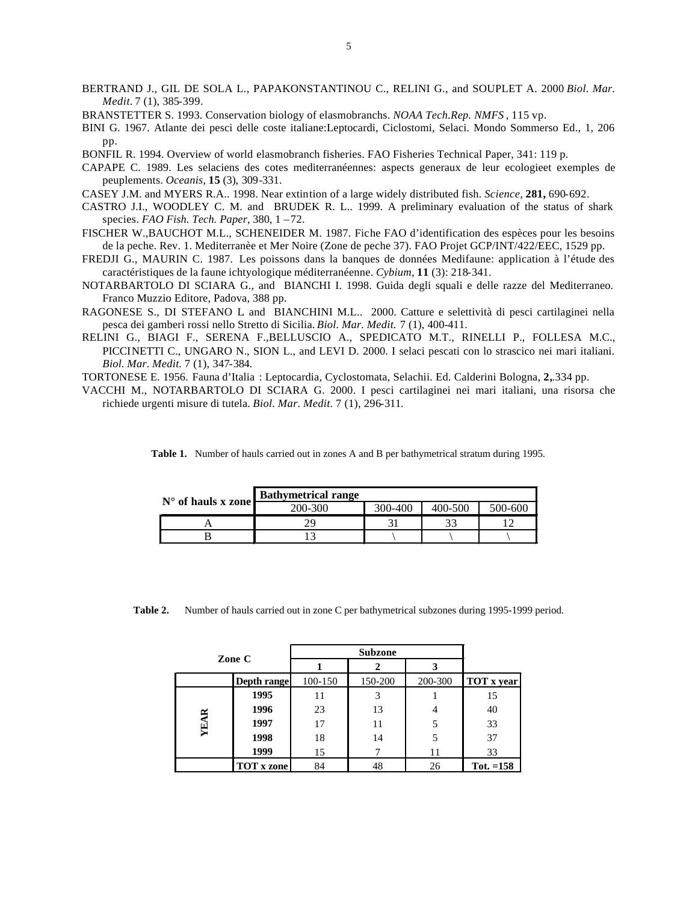- BERTRAND J., GIL DE SOLA L., PAPAKONSTANTINOU C., RELINI G., and SOUPLET A. 2000 *Biol. Mar. Medit.* 7 (1), 385-399.
- BRANSTETTER S. 1993. Conservation biology of elasmobranchs. *NOAA Tech.Rep. NMFS* , 115 vp.
- BINI G. 1967. Atlante dei pesci delle coste italiane:Leptocardi, Ciclostomi, Selaci. Mondo Sommerso Ed., 1, 206 pp.
- BONFIL R. 1994. Overview of world elasmobranch fisheries. FAO Fisheries Technical Paper, 341: 119 p.
- CAPAPE C. 1989. Les selaciens des cotes mediterranéennes: aspects generaux de leur ecologieet exemples de peuplements. *Oceanis,* **15** (3), 309-331.
- CASEY J.M. and MYERS R.A.. 1998. Near extintion of a large widely distributed fish. *Science,* **281,** 690-692.
- CASTRO J.I., WOODLEY C. M. and BRUDEK R. L.. 1999. A preliminary evaluation of the status of shark species. *FAO Fish. Tech. Paper,* 380, 1 –72.
- FISCHER W.,BAUCHOT M.L., SCHENEIDER M. 1987. Fiche FAO d'identification des espèces pour les besoins de la peche. Rev. 1. Mediterranèe et Mer Noire (Zone de peche 37). FAO Projet GCP/INT/422/EEC, 1529 pp.
- FREDJI G., MAURIN C. 1987. Les poissons dans la banques de données Medifaune: application à l'étude des caractéristiques de la faune ichtyologique méditerranéenne. *Cybium,* **11** (3): 218-341.
- NOTARBARTOLO DI SCIARA G., and BIANCHI I. 1998. Guida degli squali e delle razze del Mediterraneo. Franco Muzzio Editore, Padova, 388 pp.
- RAGONESE S., DI STEFANO L. and BIANCHINI M.L.. 2000. Catture e selettività di pesci cartilaginei nella pesca dei gamberi rossi nello Stretto di Sicilia. *Biol. Mar. Medit.* 7 (1), 400-411.
- RELINI G., BIAGI F., SERENA F.,BELLUSCIO A., SPEDICATO M.T., RINELLI P., FOLLESA M.C., PICCINETTI C., UNGARO N., SION L., and LEVI D. 2000. I selaci pescati con lo strascico nei mari italiani. *Biol. Mar. Medit.* 7 (1), 347-384.
- TORTONESE E. 1956. Fauna d'Italia : Leptocardia, Cyclostomata, Selachii. Ed. Calderini Bologna, **2,**.334 pp.
- VACCHI M., NOTARBARTOLO DI SCIARA G. 2000. I pesci cartilaginei nei mari italiani, una risorsa che richiede urgenti misure di tutela. *Biol. Mar. Medit.* 7 (1), 296-311.

|                             | <b>Bathymetrical range</b> |                    |  |         |
|-----------------------------|----------------------------|--------------------|--|---------|
| $N^{\circ}$ of hauls x zone | 200-300                    | 300-400<br>400-500 |  | 500-600 |
|                             |                            |                    |  |         |
|                             |                            |                    |  |         |

**Table 1.** Number of hauls carried out in zones A and B per bathymetrical stratum during 1995.

**Table 2.** Number of hauls carried out in zone C per bathymetrical subzones during 1995-1999 period.

| Zone C      |                   | <b>Subzone</b> |         |         |                   |
|-------------|-------------------|----------------|---------|---------|-------------------|
|             |                   |                |         |         |                   |
|             | Depth range       | 100-150        | 150-200 | 200-300 | <b>TOT</b> x year |
| <b>YEAR</b> | 1995              | 11             |         |         | 15                |
|             | 1996              | 23             | 13      |         | 40                |
|             | 1997              | 17             | 11      | 5       | 33                |
|             | 1998              | 18             | 14      |         | 37                |
|             | 1999              | 15             |         | 11      | 33                |
|             | <b>TOT</b> x zone | 84             | 48      | 26      | Tot. $=158$       |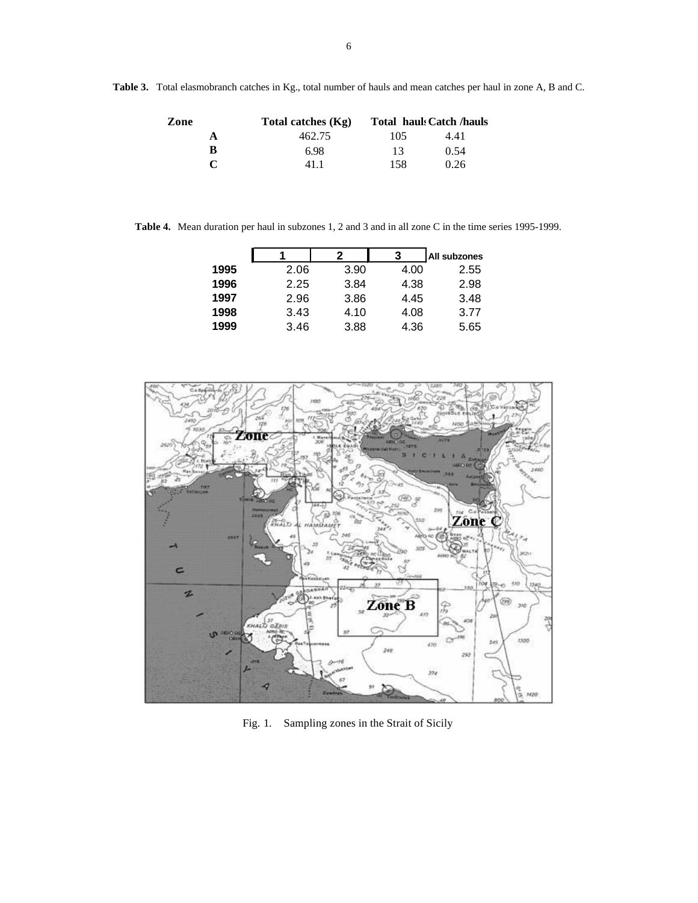**Table 3.** Total elasmobranch catches in Kg., total number of hauls and mean catches per haul in zone A, B and C.

| Zone         | Total catches $(Kg)$ |     | <b>Total hauk Catch /hauls</b> |
|--------------|----------------------|-----|--------------------------------|
| А            | 462.75               | 105 | 4.41                           |
| R            | 6.98                 | 13  | 0.54                           |
| $\mathbf{C}$ | 411                  | 158 | 0.26                           |

**Table 4.** Mean duration per haul in subzones 1, 2 and 3 and in all zone C in the time series 1995-1999.

|      |      |      |      | All subzones |
|------|------|------|------|--------------|
| 1995 | 2.06 | 3.90 | 4.00 | 2.55         |
| 1996 | 2.25 | 3.84 | 4.38 | 2.98         |
| 1997 | 2.96 | 3.86 | 4.45 | 3.48         |
| 1998 | 3.43 | 4.10 | 4.08 | 3.77         |
| 1999 | 3.46 | 3.88 | 4.36 | 5.65         |
|      |      |      |      |              |



Fig. 1. Sampling zones in the Strait of Sicily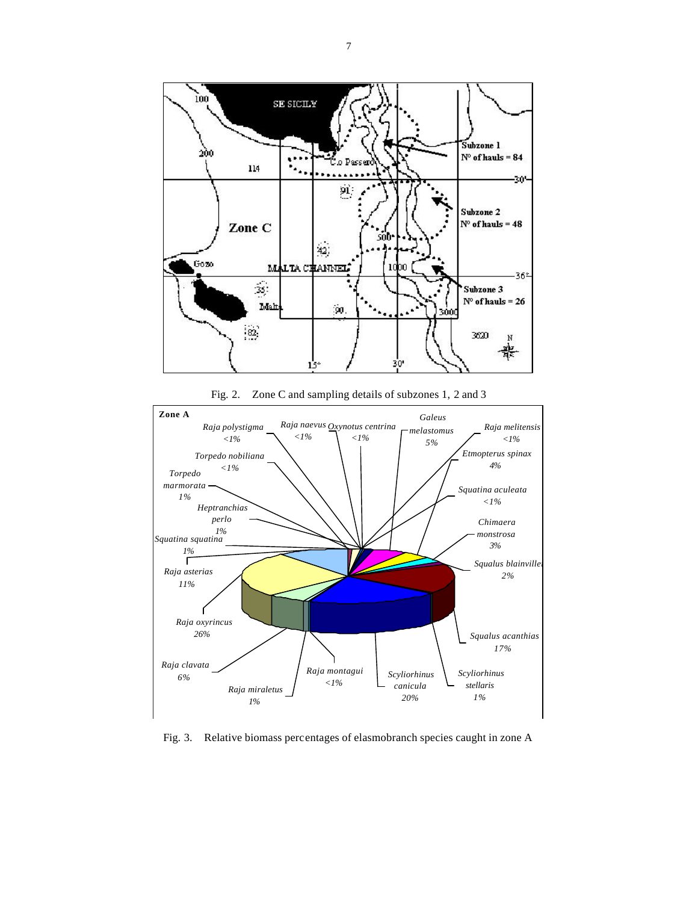





Fig. 3. Relative biomass percentages of elasmobranch species caught in zone A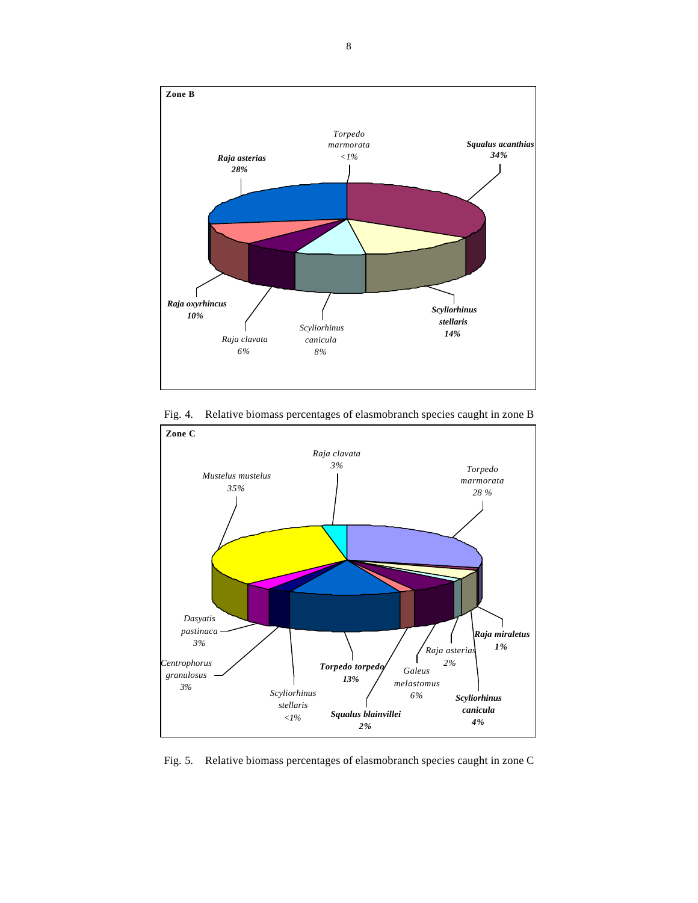



Fig. 4. Relative biomass percentages of elasmobranch species caught in zone B

Fig. 5. Relative biomass percentages of elasmobranch species caught in zone C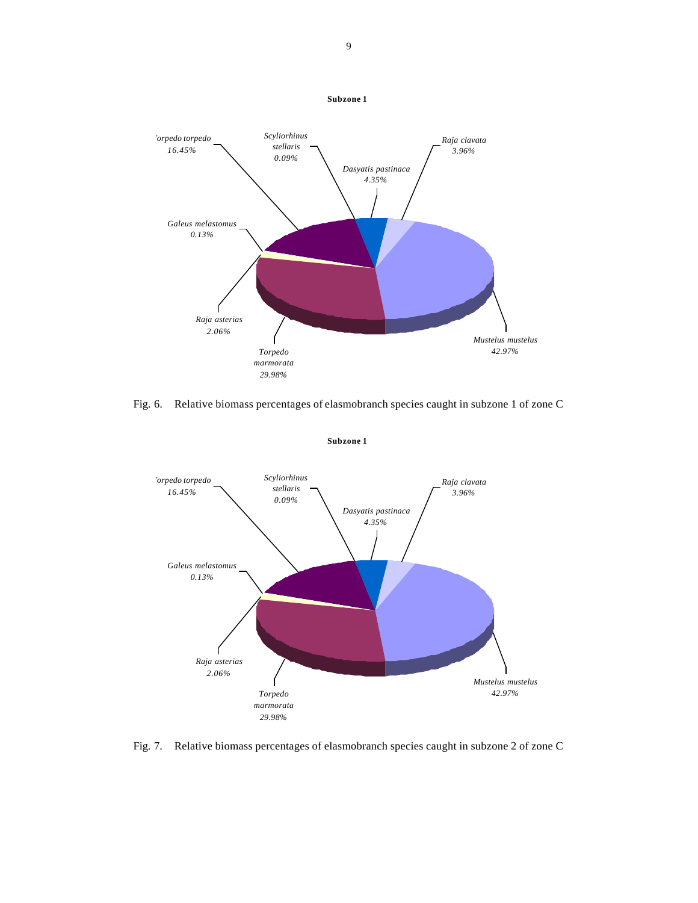

Fig. 6. Relative biomass percentages of elasmobranch species caught in subzone 1 of zone C



Fig. 7. Relative biomass percentages of elasmobranch species caught in subzone 2 of zone C

### 9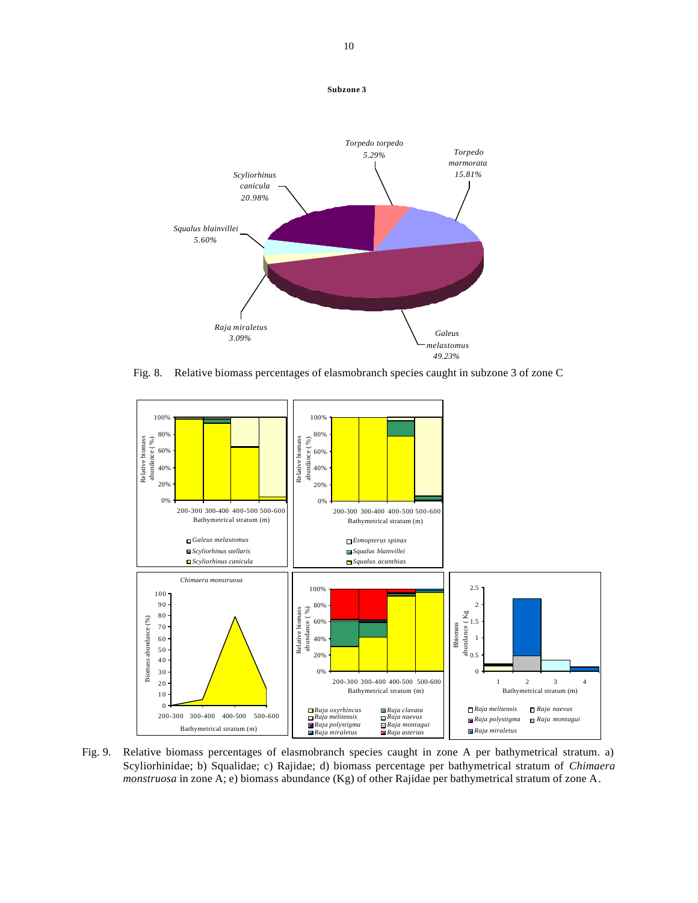

Fig. 8. Relative biomass percentages of elasmobranch species caught in subzone 3 of zone C



Fig. 9. Relative biomass percentages of elasmobranch species caught in zone A per bathymetrical stratum. a) Scyliorhinidae; b) Squalidae; c) Rajidae; d) biomass percentage per bathymetrical stratum of *Chimaera monstruosa* in zone A; e) biomass abundance (Kg) of other Rajidae per bathymetrical stratum of zone A.

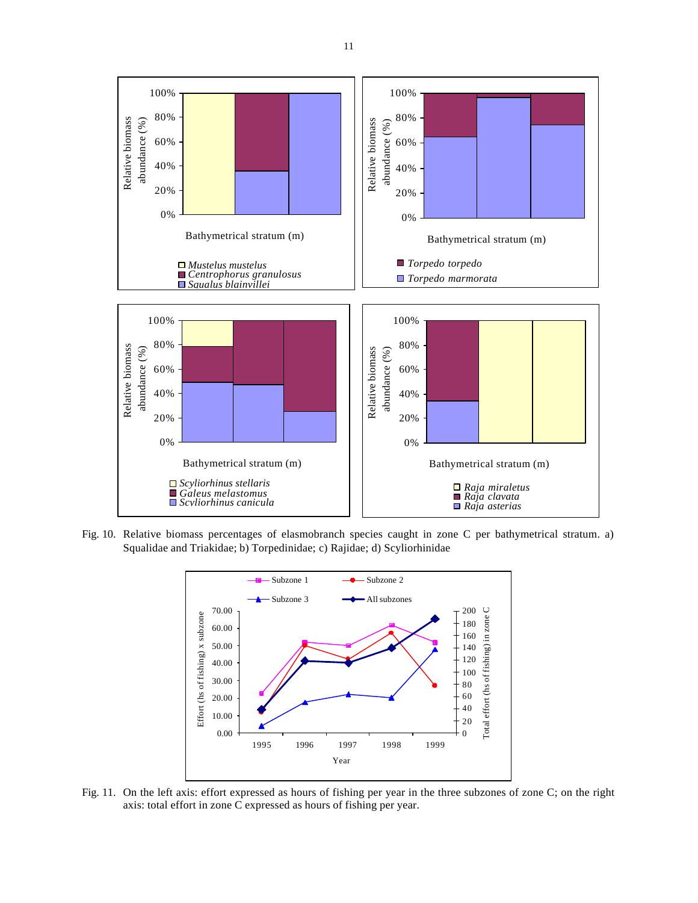

Fig. 10. Relative biomass percentages of elasmobranch species caught in zone C per bathymetrical stratum. a) Squalidae and Triakidae; b) Torpedinidae; c) Rajidae; d) Scyliorhinidae



Fig. 11. On the left axis: effort expressed as hours of fishing per year in the three subzones of zone C; on the right axis: total effort in zone C expressed as hours of fishing per year.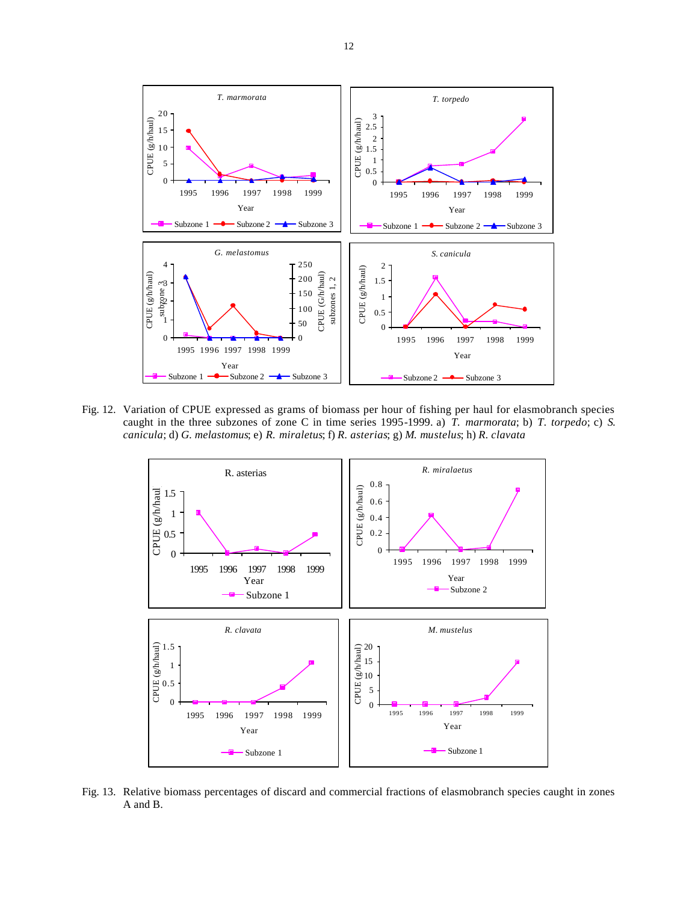

Fig. 12. Variation of CPUE expressed as grams of biomass per hour of fishing per haul for elasmobranch species caught in the three subzones of zone C in time series 1995-1999. a) *T. marmorata*; b) *T. torpedo*; c) *S. canicula*; d) *G. melastomus*; e) *R. miraletus*; f) *R. asterias*; g) *M. mustelus*; h) *R. clavata*



Fig. 13. Relative biomass percentages of discard and commercial fractions of elasmobranch species caught in zones A and B.